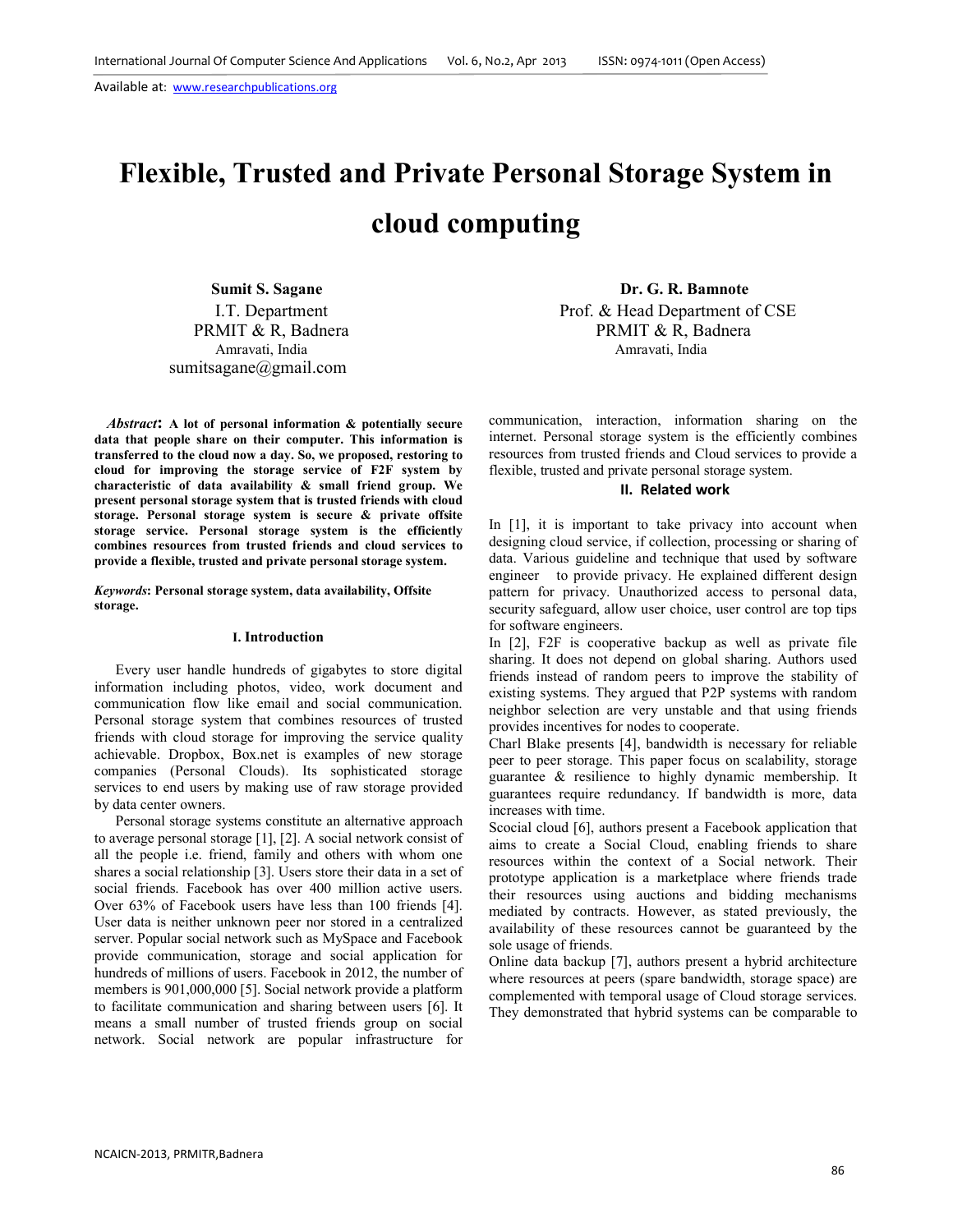# **Flexible, Trusted and Private Personal Storage System in cloud computing**

I.T. Department PRMIT & R, Badnera sumitsagane@gmail.com

*Abstract***: A lot of personal information & potentially secure data that people share on their computer. This information is transferred to the cloud now a day. So, we proposed, restoring to cloud for improving the storage service of F2F system by characteristic of data availability & small friend group. We present personal storage system that is trusted friends with cloud storage. Personal storage system is secure & private offsite storage service. Personal storage system is the efficiently combines resources from trusted friends and cloud services to provide a flexible, trusted and private personal storage system.**

*Keywords***: Personal storage system, data availability, Offsite storage.** 

#### **I. Introduction**

Every user handle hundreds of gigabytes to store digital information including photos, video, work document and communication flow like email and social communication. Personal storage system that combines resources of trusted friends with cloud storage for improving the service quality achievable. Dropbox, Box.net is examples of new storage companies (Personal Clouds). Its sophisticated storage services to end users by making use of raw storage provided by data center owners.

Personal storage systems constitute an alternative approach to average personal storage [1], [2]. A social network consist of all the people i.e. friend, family and others with whom one shares a social relationship [3]. Users store their data in a set of social friends. Facebook has over 400 million active users. Over 63% of Facebook users have less than 100 friends [4]. User data is neither unknown peer nor stored in a centralized server. Popular social network such as MySpace and Facebook provide communication, storage and social application for hundreds of millions of users. Facebook in 2012, the number of members is 901,000,000 [5]. Social network provide a platform to facilitate communication and sharing between users [6]. It means a small number of trusted friends group on social network. Social network are popular infrastructure for

 **Sumit S. Sagane Dr. G. R. Bamnote** Prof. & Head Department of CSE PRMIT & R, Badnera Amravati, India Amravati, India

> communication, interaction, information sharing on the internet. Personal storage system is the efficiently combines resources from trusted friends and Cloud services to provide a flexible, trusted and private personal storage system.

## **II. Related work**

In [1], it is important to take privacy into account when designing cloud service, if collection, processing or sharing of data. Various guideline and technique that used by software engineer to provide privacy. He explained different design pattern for privacy. Unauthorized access to personal data, security safeguard, allow user choice, user control are top tips for software engineers.

In [2], F2F is cooperative backup as well as private file sharing. It does not depend on global sharing. Authors used friends instead of random peers to improve the stability of existing systems. They argued that P2P systems with random neighbor selection are very unstable and that using friends provides incentives for nodes to cooperate.

Charl Blake presents [4], bandwidth is necessary for reliable peer to peer storage. This paper focus on scalability, storage guarantee & resilience to highly dynamic membership. It guarantees require redundancy. If bandwidth is more, data increases with time.

Scocial cloud [6], authors present a Facebook application that aims to create a Social Cloud, enabling friends to share resources within the context of a Social network. Their prototype application is a marketplace where friends trade their resources using auctions and bidding mechanisms mediated by contracts. However, as stated previously, the availability of these resources cannot be guaranteed by the sole usage of friends.

Online data backup [7], authors present a hybrid architecture where resources at peers (spare bandwidth, storage space) are complemented with temporal usage of Cloud storage services. They demonstrated that hybrid systems can be comparable to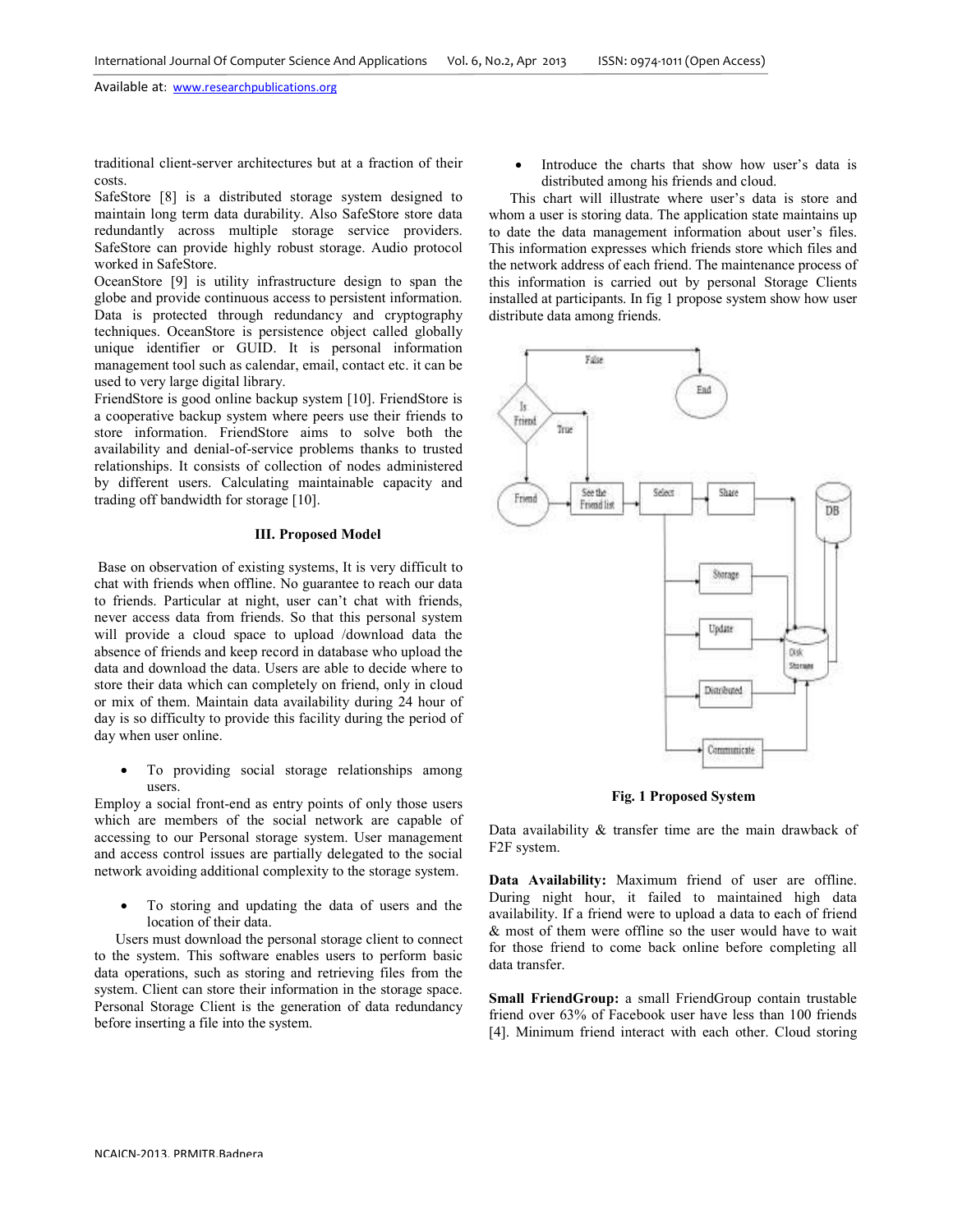traditional client-server architectures but at a fraction of their costs.

SafeStore [8] is a distributed storage system designed to maintain long term data durability. Also SafeStore store data redundantly across multiple storage service providers. SafeStore can provide highly robust storage. Audio protocol worked in SafeStore.

OceanStore [9] is utility infrastructure design to span the globe and provide continuous access to persistent information. Data is protected through redundancy and cryptography techniques. OceanStore is persistence object called globally unique identifier or GUID. It is personal information management tool such as calendar, email, contact etc. it can be used to very large digital library.

FriendStore is good online backup system [10]. FriendStore is a cooperative backup system where peers use their friends to store information. FriendStore aims to solve both the availability and denial-of-service problems thanks to trusted relationships. It consists of collection of nodes administered by different users. Calculating maintainable capacity and trading off bandwidth for storage [10].

#### **III. Proposed Model**

 Base on observation of existing systems, It is very difficult to chat with friends when offline. No guarantee to reach our data to friends. Particular at night, user can't chat with friends, never access data from friends. So that this personal system will provide a cloud space to upload /download data the absence of friends and keep record in database who upload the data and download the data. Users are able to decide where to store their data which can completely on friend, only in cloud or mix of them. Maintain data availability during 24 hour of day is so difficulty to provide this facility during the period of day when user online.

To providing social storage relationships among users.

Employ a social front-end as entry points of only those users which are members of the social network are capable of accessing to our Personal storage system. User management and access control issues are partially delegated to the social network avoiding additional complexity to the storage system.

• To storing and updating the data of users and the location of their data.

Users must download the personal storage client to connect to the system. This software enables users to perform basic data operations, such as storing and retrieving files from the system. Client can store their information in the storage space. Personal Storage Client is the generation of data redundancy before inserting a file into the system.

Introduce the charts that show how user's data is distributed among his friends and cloud.

This chart will illustrate where user's data is store and whom a user is storing data. The application state maintains up to date the data management information about user's files. This information expresses which friends store which files and the network address of each friend. The maintenance process of this information is carried out by personal Storage Clients installed at participants. In fig 1 propose system show how user distribute data among friends.



**Fig. 1 Proposed System** 

Data availability & transfer time are the main drawback of F2F system.

**Data Availability:** Maximum friend of user are offline. During night hour, it failed to maintained high data availability. If a friend were to upload a data to each of friend & most of them were offline so the user would have to wait for those friend to come back online before completing all data transfer.

**Small FriendGroup:** a small FriendGroup contain trustable friend over 63% of Facebook user have less than 100 friends [4]. Minimum friend interact with each other. Cloud storing